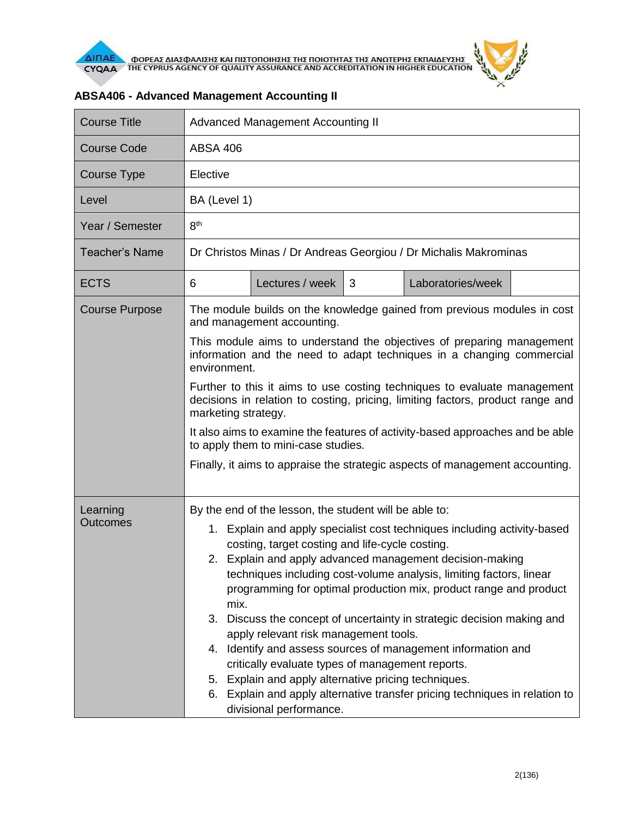

| <b>Course Title</b>         | <b>Advanced Management Accounting II</b>                                                                                                                                                                                                                                                                                                                                                                                                                                                                                                                                                                                                                                                                                                                                                                          |                 |   |                   |  |  |
|-----------------------------|-------------------------------------------------------------------------------------------------------------------------------------------------------------------------------------------------------------------------------------------------------------------------------------------------------------------------------------------------------------------------------------------------------------------------------------------------------------------------------------------------------------------------------------------------------------------------------------------------------------------------------------------------------------------------------------------------------------------------------------------------------------------------------------------------------------------|-----------------|---|-------------------|--|--|
| <b>Course Code</b>          | <b>ABSA 406</b>                                                                                                                                                                                                                                                                                                                                                                                                                                                                                                                                                                                                                                                                                                                                                                                                   |                 |   |                   |  |  |
| Course Type                 | Elective                                                                                                                                                                                                                                                                                                                                                                                                                                                                                                                                                                                                                                                                                                                                                                                                          |                 |   |                   |  |  |
| Level                       | BA (Level 1)                                                                                                                                                                                                                                                                                                                                                                                                                                                                                                                                                                                                                                                                                                                                                                                                      |                 |   |                   |  |  |
| Year / Semester             | 8 <sup>th</sup>                                                                                                                                                                                                                                                                                                                                                                                                                                                                                                                                                                                                                                                                                                                                                                                                   |                 |   |                   |  |  |
| <b>Teacher's Name</b>       | Dr Christos Minas / Dr Andreas Georgiou / Dr Michalis Makrominas                                                                                                                                                                                                                                                                                                                                                                                                                                                                                                                                                                                                                                                                                                                                                  |                 |   |                   |  |  |
| <b>ECTS</b>                 | 6                                                                                                                                                                                                                                                                                                                                                                                                                                                                                                                                                                                                                                                                                                                                                                                                                 | Lectures / week | 3 | Laboratories/week |  |  |
| <b>Course Purpose</b>       | The module builds on the knowledge gained from previous modules in cost<br>and management accounting.                                                                                                                                                                                                                                                                                                                                                                                                                                                                                                                                                                                                                                                                                                             |                 |   |                   |  |  |
|                             | This module aims to understand the objectives of preparing management<br>information and the need to adapt techniques in a changing commercial<br>environment.                                                                                                                                                                                                                                                                                                                                                                                                                                                                                                                                                                                                                                                    |                 |   |                   |  |  |
|                             | Further to this it aims to use costing techniques to evaluate management<br>decisions in relation to costing, pricing, limiting factors, product range and<br>marketing strategy.                                                                                                                                                                                                                                                                                                                                                                                                                                                                                                                                                                                                                                 |                 |   |                   |  |  |
|                             | It also aims to examine the features of activity-based approaches and be able<br>to apply them to mini-case studies.                                                                                                                                                                                                                                                                                                                                                                                                                                                                                                                                                                                                                                                                                              |                 |   |                   |  |  |
|                             | Finally, it aims to appraise the strategic aspects of management accounting.                                                                                                                                                                                                                                                                                                                                                                                                                                                                                                                                                                                                                                                                                                                                      |                 |   |                   |  |  |
| Learning<br><b>Outcomes</b> | By the end of the lesson, the student will be able to:<br>1. Explain and apply specialist cost techniques including activity-based<br>costing, target costing and life-cycle costing.<br>2. Explain and apply advanced management decision-making<br>techniques including cost-volume analysis, limiting factors, linear<br>programming for optimal production mix, product range and product<br>mix.<br>Discuss the concept of uncertainty in strategic decision making and<br>3.<br>apply relevant risk management tools.<br>4. Identify and assess sources of management information and<br>critically evaluate types of management reports.<br>5. Explain and apply alternative pricing techniques.<br>6. Explain and apply alternative transfer pricing techniques in relation to<br>divisional performance. |                 |   |                   |  |  |

## **ABSA406 - Advanced Management Accounting II**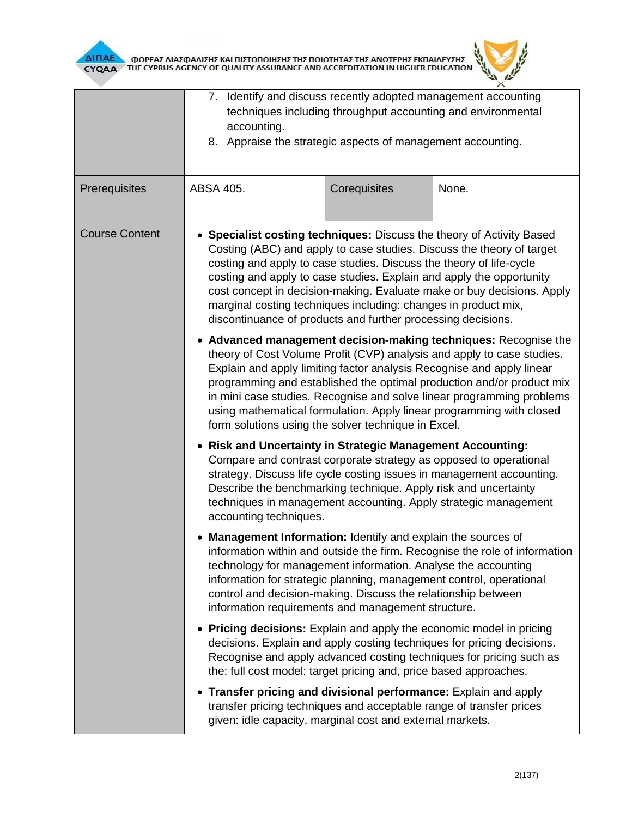



|                       | 7. Identify and discuss recently adopted management accounting<br>techniques including throughput accounting and environmental<br>accounting.<br>8. Appraise the strategic aspects of management accounting.                                                                                                                                                                                                                                                                                              |              |       |  |  |  |
|-----------------------|-----------------------------------------------------------------------------------------------------------------------------------------------------------------------------------------------------------------------------------------------------------------------------------------------------------------------------------------------------------------------------------------------------------------------------------------------------------------------------------------------------------|--------------|-------|--|--|--|
| Prerequisites         | ABSA 405.                                                                                                                                                                                                                                                                                                                                                                                                                                                                                                 | Corequisites | None. |  |  |  |
| <b>Course Content</b> | • Specialist costing techniques: Discuss the theory of Activity Based<br>Costing (ABC) and apply to case studies. Discuss the theory of target<br>costing and apply to case studies. Discuss the theory of life-cycle<br>costing and apply to case studies. Explain and apply the opportunity<br>cost concept in decision-making. Evaluate make or buy decisions. Apply<br>marginal costing techniques including: changes in product mix,<br>discontinuance of products and further processing decisions. |              |       |  |  |  |
|                       | • Advanced management decision-making techniques: Recognise the<br>theory of Cost Volume Profit (CVP) analysis and apply to case studies.<br>Explain and apply limiting factor analysis Recognise and apply linear<br>programming and established the optimal production and/or product mix<br>in mini case studies. Recognise and solve linear programming problems<br>using mathematical formulation. Apply linear programming with closed<br>form solutions using the solver technique in Excel.       |              |       |  |  |  |
|                       | • Risk and Uncertainty in Strategic Management Accounting:<br>Compare and contrast corporate strategy as opposed to operational<br>strategy. Discuss life cycle costing issues in management accounting.<br>Describe the benchmarking technique. Apply risk and uncertainty<br>techniques in management accounting. Apply strategic management<br>accounting techniques.                                                                                                                                  |              |       |  |  |  |
|                       | • Management Information: Identify and explain the sources of<br>information within and outside the firm. Recognise the role of information<br>technology for management information. Analyse the accounting<br>information for strategic planning, management control, operational<br>control and decision-making. Discuss the relationship between<br>information requirements and management structure.                                                                                                |              |       |  |  |  |
|                       | • Pricing decisions: Explain and apply the economic model in pricing<br>decisions. Explain and apply costing techniques for pricing decisions.<br>Recognise and apply advanced costing techniques for pricing such as<br>the: full cost model; target pricing and, price based approaches.                                                                                                                                                                                                                |              |       |  |  |  |
|                       | • Transfer pricing and divisional performance: Explain and apply<br>transfer pricing techniques and acceptable range of transfer prices<br>given: idle capacity, marginal cost and external markets.                                                                                                                                                                                                                                                                                                      |              |       |  |  |  |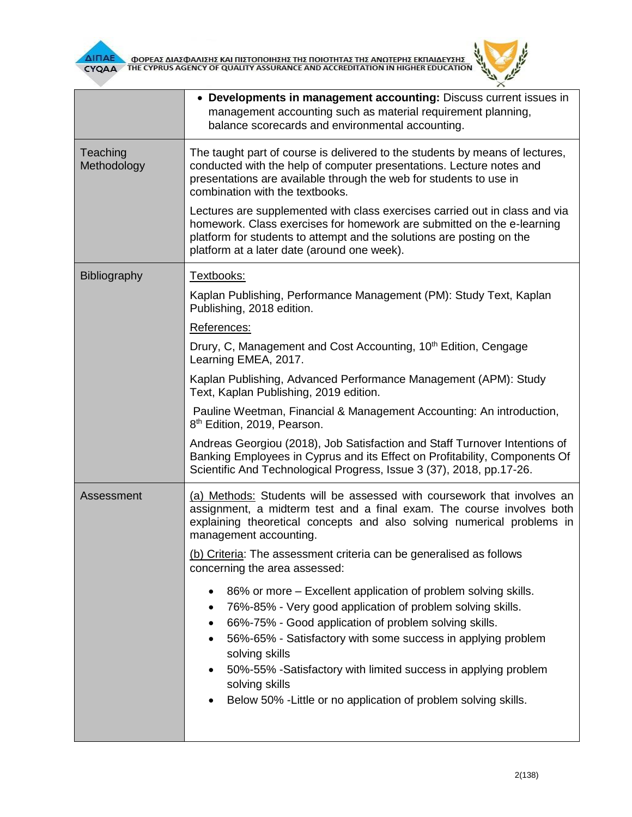



|                         | • Developments in management accounting: Discuss current issues in<br>management accounting such as material requirement planning,<br>balance scorecards and environmental accounting.                                                                                                                                                                                                                                                                                |  |  |  |  |
|-------------------------|-----------------------------------------------------------------------------------------------------------------------------------------------------------------------------------------------------------------------------------------------------------------------------------------------------------------------------------------------------------------------------------------------------------------------------------------------------------------------|--|--|--|--|
| Teaching<br>Methodology | The taught part of course is delivered to the students by means of lectures,<br>conducted with the help of computer presentations. Lecture notes and<br>presentations are available through the web for students to use in<br>combination with the textbooks.                                                                                                                                                                                                         |  |  |  |  |
|                         | Lectures are supplemented with class exercises carried out in class and via<br>homework. Class exercises for homework are submitted on the e-learning<br>platform for students to attempt and the solutions are posting on the<br>platform at a later date (around one week).                                                                                                                                                                                         |  |  |  |  |
| <b>Bibliography</b>     | Textbooks:                                                                                                                                                                                                                                                                                                                                                                                                                                                            |  |  |  |  |
|                         | Kaplan Publishing, Performance Management (PM): Study Text, Kaplan<br>Publishing, 2018 edition.                                                                                                                                                                                                                                                                                                                                                                       |  |  |  |  |
|                         | References:                                                                                                                                                                                                                                                                                                                                                                                                                                                           |  |  |  |  |
|                         | Drury, C, Management and Cost Accounting, 10 <sup>th</sup> Edition, Cengage<br>Learning EMEA, 2017.                                                                                                                                                                                                                                                                                                                                                                   |  |  |  |  |
|                         | Kaplan Publishing, Advanced Performance Management (APM): Study<br>Text, Kaplan Publishing, 2019 edition.                                                                                                                                                                                                                                                                                                                                                             |  |  |  |  |
|                         | Pauline Weetman, Financial & Management Accounting: An introduction,<br>8 <sup>th</sup> Edition, 2019, Pearson.                                                                                                                                                                                                                                                                                                                                                       |  |  |  |  |
|                         | Andreas Georgiou (2018), Job Satisfaction and Staff Turnover Intentions of<br>Banking Employees in Cyprus and its Effect on Profitability, Components Of<br>Scientific And Technological Progress, Issue 3 (37), 2018, pp.17-26.                                                                                                                                                                                                                                      |  |  |  |  |
| Assessment              | (a) Methods: Students will be assessed with coursework that involves an<br>assignment, a midterm test and a final exam. The course involves both<br>explaining theoretical concepts and also solving numerical problems in<br>management accounting.                                                                                                                                                                                                                  |  |  |  |  |
|                         | (b) Criteria: The assessment criteria can be generalised as follows<br>concerning the area assessed:                                                                                                                                                                                                                                                                                                                                                                  |  |  |  |  |
|                         | 86% or more – Excellent application of problem solving skills.<br>$\bullet$<br>76%-85% - Very good application of problem solving skills.<br>$\bullet$<br>66%-75% - Good application of problem solving skills.<br>$\bullet$<br>56%-65% - Satisfactory with some success in applying problem<br>solving skills<br>50%-55% -Satisfactory with limited success in applying problem<br>solving skills<br>Below 50% - Little or no application of problem solving skills. |  |  |  |  |
|                         |                                                                                                                                                                                                                                                                                                                                                                                                                                                                       |  |  |  |  |